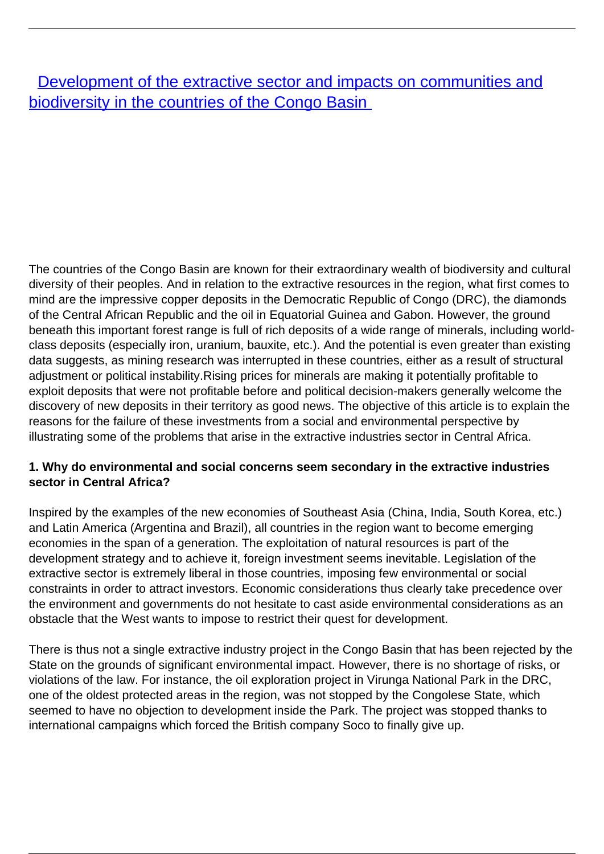## **[Development of the extractive sector and impacts on communities and](/bulletin-articles/development-of-the-extractive-sector-and-impacts-on-communities-and-biodiversity-in-the-countries-of-the)** [biodiversity in the countries of the Congo Basin](/bulletin-articles/development-of-the-extractive-sector-and-impacts-on-communities-and-biodiversity-in-the-countries-of-the)

The countries of the Congo Basin are known for their extraordinary wealth of biodiversity and cultural diversity of their peoples. And in relation to the extractive resources in the region, what first comes to mind are the impressive copper deposits in the Democratic Republic of Congo (DRC), the diamonds of the Central African Republic and the oil in Equatorial Guinea and Gabon. However, the ground beneath this important forest range is full of rich deposits of a wide range of minerals, including worldclass deposits (especially iron, uranium, bauxite, etc.). And the potential is even greater than existing data suggests, as mining research was interrupted in these countries, either as a result of structural adjustment or political instability.Rising prices for minerals are making it potentially profitable to exploit deposits that were not profitable before and political decision-makers generally welcome the discovery of new deposits in their territory as good news. The objective of this article is to explain the reasons for the failure of these investments from a social and environmental perspective by illustrating some of the problems that arise in the extractive industries sector in Central Africa.

## **1. Why do environmental and social concerns seem secondary in the extractive industries sector in Central Africa?**

Inspired by the examples of the new economies of Southeast Asia (China, India, South Korea, etc.) and Latin America (Argentina and Brazil), all countries in the region want to become emerging economies in the span of a generation. The exploitation of natural resources is part of the development strategy and to achieve it, foreign investment seems inevitable. Legislation of the extractive sector is extremely liberal in those countries, imposing few environmental or social constraints in order to attract investors. Economic considerations thus clearly take precedence over the environment and governments do not hesitate to cast aside environmental considerations as an obstacle that the West wants to impose to restrict their quest for development.

There is thus not a single extractive industry project in the Congo Basin that has been rejected by the State on the grounds of significant environmental impact. However, there is no shortage of risks, or violations of the law. For instance, the oil exploration project in Virunga National Park in the DRC, one of the oldest protected areas in the region, was not stopped by the Congolese State, which seemed to have no objection to development inside the Park. The project was stopped thanks to international campaigns which forced the British company Soco to finally give up.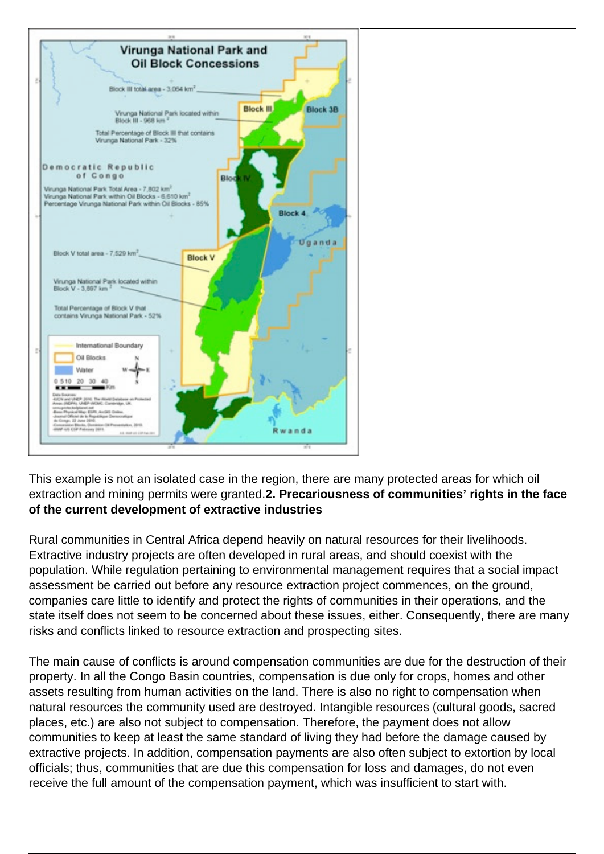

This example is not an isolated case in the region, there are many protected areas for which oil extraction and mining permits were granted.**2. Precariousness of communities' rights in the face of the current development of extractive industries** 

Rural communities in Central Africa depend heavily on natural resources for their livelihoods. Extractive industry projects are often developed in rural areas, and should coexist with the population. While regulation pertaining to environmental management requires that a social impact assessment be carried out before any resource extraction project commences, on the ground, companies care little to identify and protect the rights of communities in their operations, and the state itself does not seem to be concerned about these issues, either. Consequently, there are many risks and conflicts linked to resource extraction and prospecting sites.

The main cause of conflicts is around compensation communities are due for the destruction of their property. In all the Congo Basin countries, compensation is due only for crops, homes and other assets resulting from human activities on the land. There is also no right to compensation when natural resources the community used are destroyed. Intangible resources (cultural goods, sacred places, etc.) are also not subject to compensation. Therefore, the payment does not allow communities to keep at least the same standard of living they had before the damage caused by extractive projects. In addition, compensation payments are also often subject to extortion by local officials; thus, communities that are due this compensation for loss and damages, do not even receive the full amount of the compensation payment, which was insufficient to start with.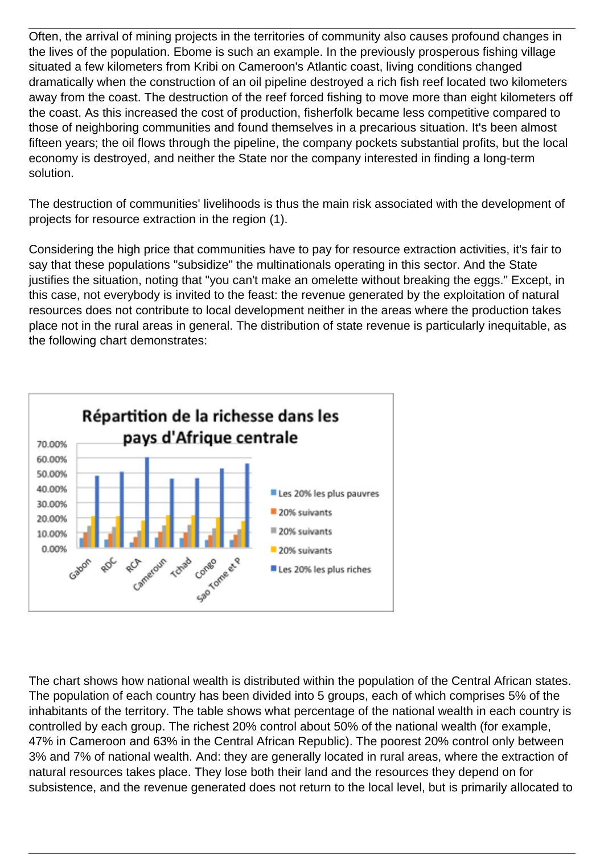Often, the arrival of mining projects in the territories of community also causes profound changes in the lives of the population. Ebome is such an example. In the previously prosperous fishing village situated a few kilometers from Kribi on Cameroon's Atlantic coast, living conditions changed dramatically when the construction of an oil pipeline destroyed a rich fish reef located two kilometers away from the coast. The destruction of the reef forced fishing to move more than eight kilometers off the coast. As this increased the cost of production, fisherfolk became less competitive compared to those of neighboring communities and found themselves in a precarious situation. It's been almost fifteen years; the oil flows through the pipeline, the company pockets substantial profits, but the local economy is destroyed, and neither the State nor the company interested in finding a long-term solution.

The destruction of communities' livelihoods is thus the main risk associated with the development of projects for resource extraction in the region (1).

Considering the high price that communities have to pay for resource extraction activities, it's fair to say that these populations "subsidize" the multinationals operating in this sector. And the State justifies the situation, noting that "you can't make an omelette without breaking the eggs." Except, in this case, not everybody is invited to the feast: the revenue generated by the exploitation of natural resources does not contribute to local development neither in the areas where the production takes place not in the rural areas in general. The distribution of state revenue is particularly inequitable, as the following chart demonstrates:



The chart shows how national wealth is distributed within the population of the Central African states. The population of each country has been divided into 5 groups, each of which comprises 5% of the inhabitants of the territory. The table shows what percentage of the national wealth in each country is controlled by each group. The richest 20% control about 50% of the national wealth (for example, 47% in Cameroon and 63% in the Central African Republic). The poorest 20% control only between 3% and 7% of national wealth. And: they are generally located in rural areas, where the extraction of natural resources takes place. They lose both their land and the resources they depend on for subsistence, and the revenue generated does not return to the local level, but is primarily allocated to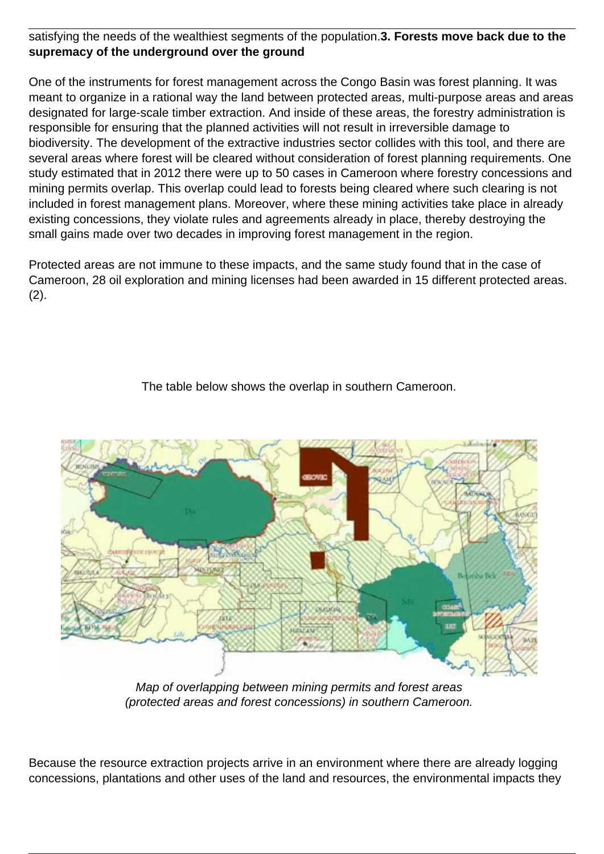## satisfying the needs of the wealthiest segments of the population.**3. Forests move back due to the supremacy of the underground over the ground**

One of the instruments for forest management across the Congo Basin was forest planning. It was meant to organize in a rational way the land between protected areas, multi-purpose areas and areas designated for large-scale timber extraction. And inside of these areas, the forestry administration is responsible for ensuring that the planned activities will not result in irreversible damage to biodiversity. The development of the extractive industries sector collides with this tool, and there are several areas where forest will be cleared without consideration of forest planning requirements. One study estimated that in 2012 there were up to 50 cases in Cameroon where forestry concessions and mining permits overlap. This overlap could lead to forests being cleared where such clearing is not included in forest management plans. Moreover, where these mining activities take place in already existing concessions, they violate rules and agreements already in place, thereby destroying the small gains made over two decades in improving forest management in the region.

Protected areas are not immune to these impacts, and the same study found that in the case of Cameroon, 28 oil exploration and mining licenses had been awarded in 15 different protected areas.  $(2).$ 

The table below shows the overlap in southern Cameroon.



Map of overlapping between mining permits and forest areas (protected areas and forest concessions) in southern Cameroon.

Because the resource extraction projects arrive in an environment where there are already logging concessions, plantations and other uses of the land and resources, the environmental impacts they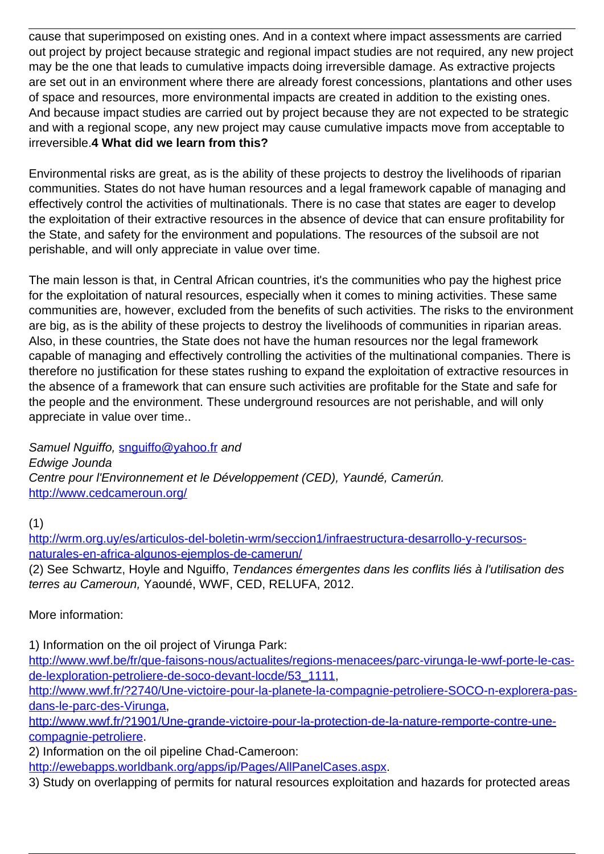cause that superimposed on existing ones. And in a context where impact assessments are carried out project by project because strategic and regional impact studies are not required, any new project may be the one that leads to cumulative impacts doing irreversible damage. As extractive projects are set out in an environment where there are already forest concessions, plantations and other uses of space and resources, more environmental impacts are created in addition to the existing ones. And because impact studies are carried out by project because they are not expected to be strategic and with a regional scope, any new project may cause cumulative impacts move from acceptable to irreversible.**4 What did we learn from this?**

Environmental risks are great, as is the ability of these projects to destroy the livelihoods of riparian communities. States do not have human resources and a legal framework capable of managing and effectively control the activities of multinationals. There is no case that states are eager to develop the exploitation of their extractive resources in the absence of device that can ensure profitability for the State, and safety for the environment and populations. The resources of the subsoil are not perishable, and will only appreciate in value over time.

The main lesson is that, in Central African countries, it's the communities who pay the highest price for the exploitation of natural resources, especially when it comes to mining activities. These same communities are, however, excluded from the benefits of such activities. The risks to the environment are big, as is the ability of these projects to destroy the livelihoods of communities in riparian areas. Also, in these countries, the State does not have the human resources nor the legal framework capable of managing and effectively controlling the activities of the multinational companies. There is therefore no justification for these states rushing to expand the exploitation of extractive resources in the absence of a framework that can ensure such activities are profitable for the State and safe for the people and the environment. These underground resources are not perishable, and will only appreciate in value over time..

Samuel Nguiffo, [snguiffo@yahoo.fr](mailto:snguiffo@yahoo.fr) and Edwige Jounda Centre pour l'Environnement et le Développement (CED), Yaundé, Camerún. [http://www.cedcameroun.org/](http://wrm.us9.list-manage.com/track/click?u=f91b651f7fecdf835b57dc11d&id=ae22dbcfa1&e=0a9bf43b39)

(1)

[http://wrm.org.uy/es/articulos-del-boletin-wrm/seccion1/infraestructura-desarrollo-y-recursos](http://wrm.us9.list-manage.com/track/click?u=f91b651f7fecdf835b57dc11d&id=7bf59109ad&e=0a9bf43b39)[naturales-en-africa-algunos-ejemplos-de-camerun/](http://wrm.us9.list-manage.com/track/click?u=f91b651f7fecdf835b57dc11d&id=7bf59109ad&e=0a9bf43b39)

(2) See Schwartz, Hoyle and Nguiffo, Tendances émergentes dans les conflits liés à l'utilisation des terres au Cameroun, Yaoundé, WWF, CED, RELUFA, 2012.

More information:

1) Information on the oil project of Virunga Park:

[http://www.wwf.be/fr/que-faisons-nous/actualites/regions-menacees/parc-virunga-le-wwf-porte-le-cas](http://wrm.us9.list-manage.com/track/click?u=f91b651f7fecdf835b57dc11d&id=49ef7baa91&e=0a9bf43b39)[de-lexploration-petroliere-de-soco-devant-locde/53\\_1111](http://wrm.us9.list-manage.com/track/click?u=f91b651f7fecdf835b57dc11d&id=49ef7baa91&e=0a9bf43b39),

[http://www.wwf.fr/?2740/Une-victoire-pour-la-planete-la-compagnie-petroliere-SOCO-n-explorera-pas](http://wrm.us9.list-manage.com/track/click?u=f91b651f7fecdf835b57dc11d&id=29397ae39c&e=0a9bf43b39)[dans-le-parc-des-Virunga,](http://wrm.us9.list-manage.com/track/click?u=f91b651f7fecdf835b57dc11d&id=29397ae39c&e=0a9bf43b39)

[http://www.wwf.fr/?1901/Une-grande-victoire-pour-la-protection-de-la-nature-remporte-contre-une](http://wrm.us9.list-manage.com/track/click?u=f91b651f7fecdf835b57dc11d&id=0fabad6f08&e=0a9bf43b39)[compagnie-petroliere](http://wrm.us9.list-manage.com/track/click?u=f91b651f7fecdf835b57dc11d&id=0fabad6f08&e=0a9bf43b39).

2) Information on the oil pipeline Chad-Cameroon:

[http://ewebapps.worldbank.org/apps/ip/Pages/AllPanelCases.aspx](http://wrm.us9.list-manage.com/track/click?u=f91b651f7fecdf835b57dc11d&id=1227a27f74&e=0a9bf43b39).

3) Study on overlapping of permits for natural resources exploitation and hazards for protected areas